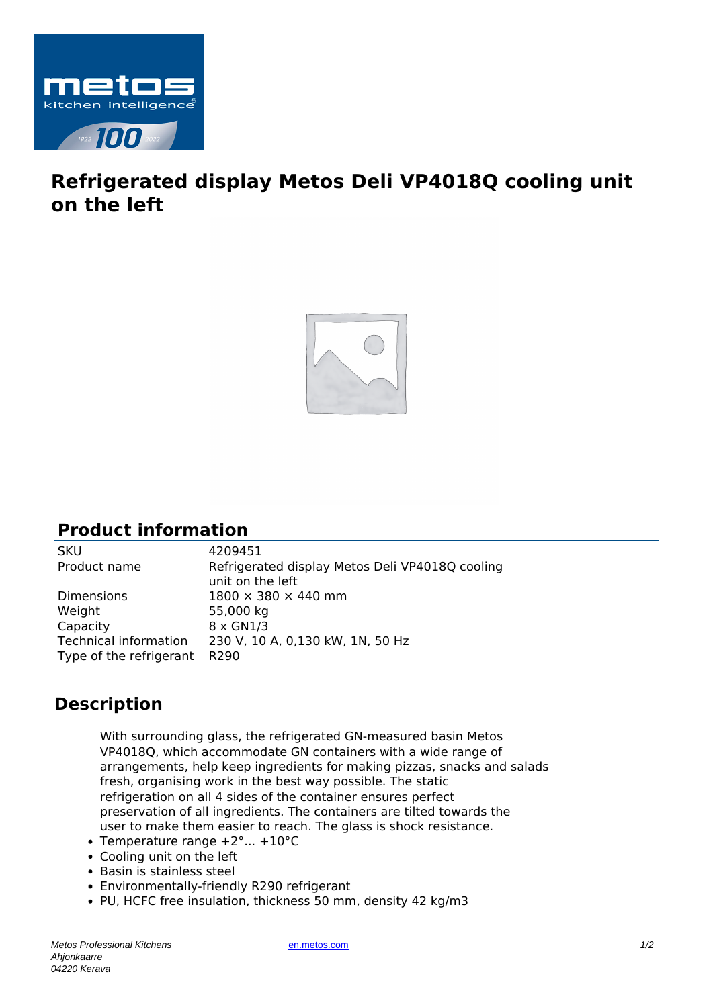

## **Refrigerated display Metos Deli VP4018Q cooling unit on the left**



## **Product information**

SKU 4209451<br>Product name Refrigera Refrigerated display Metos Deli VP4018Q cooling unit on the left Dimensions  $1800 \times 380 \times 440$  mm Weight 55,000 kg Capacity 8 x GN1/3 Technical information 230 V, 10 A, 0,130 kW, 1N, 50 Hz Type of the refrigerant R290

## **Description**

With surrounding glass, the refrigerated GN-measured basin Metos VP4018Q, which accommodate GN containers with a wide range of arrangements, help keep ingredients for making pizzas, snacks and salads fresh, organising work in the best way possible. The static refrigeration on all 4 sides of the container ensures perfect preservation of all ingredients. The containers are tilted towards the user to make them easier to reach. The glass is shock resistance.

- Temperature range  $+2^{\circ}$ ...  $+10^{\circ}$ C
- Cooling unit on the left
- Basin is stainless steel
- Environmentally-friendly R290 refrigerant
- PU, HCFC free insulation, thickness 50 mm, density 42 kg/m3